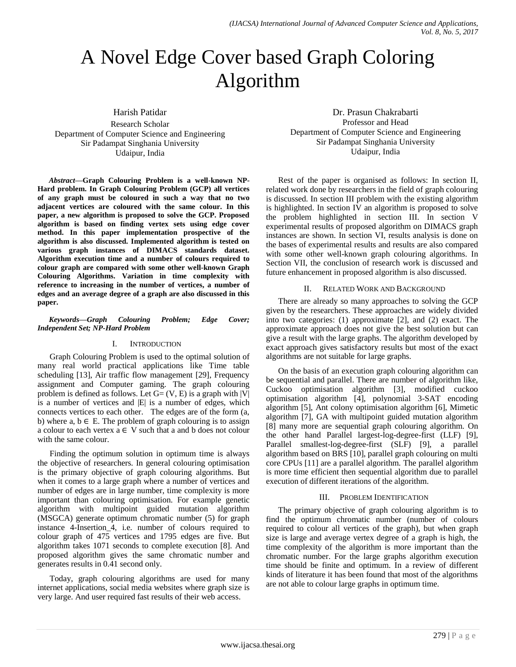# A Novel Edge Cover based Graph Coloring Algorithm

Harish Patidar Research Scholar Department of Computer Science and Engineering Sir Padampat Singhania University Udaipur, India

*Abstract***—Graph Colouring Problem is a well-known NP-Hard problem. In Graph Colouring Problem (GCP) all vertices of any graph must be coloured in such a way that no two adjacent vertices are coloured with the same colour. In this paper, a new algorithm is proposed to solve the GCP. Proposed algorithm is based on finding vertex sets using edge cover method. In this paper implementation prospective of the algorithm is also discussed. Implemented algorithm is tested on various graph instances of DIMACS standards dataset. Algorithm execution time and a number of colours required to colour graph are compared with some other well-known Graph Colouring Algorithms. Variation in time complexity with reference to increasing in the number of vertices, a number of edges and an average degree of a graph are also discussed in this paper.** 

*Keywords—Graph Colouring Problem; Edge Cover; Independent Set; NP-Hard Problem*

## I. INTRODUCTION

Graph Colouring Problem is used to the optimal solution of many real world practical applications like Time table scheduling [13], Air traffic flow management [29], Frequency assignment and Computer gaming. The graph colouring problem is defined as follows. Let  $G = (V, E)$  is a graph with  $|V|$ is a number of vertices and |E| is a number of edges, which connects vertices to each other. The edges are of the form (a, b) where a,  $b \in E$ . The problem of graph colouring is to assign a colour to each vertex  $a \in V$  such that a and b does not colour with the same colour.

Finding the optimum solution in optimum time is always the objective of researchers. In general colouring optimisation is the primary objective of graph colouring algorithms. But when it comes to a large graph where a number of vertices and number of edges are in large number, time complexity is more important than colouring optimisation. For example genetic algorithm with multipoint guided mutation algorithm (MSGCA) generate optimum chromatic number (5) for graph instance 4-Insertion\_4, i.e. number of colours required to colour graph of 475 vertices and 1795 edges are five. But algorithm takes 1071 seconds to complete execution [8]. And proposed algorithm gives the same chromatic number and generates results in 0.41 second only.

Today, graph colouring algorithms are used for many internet applications, social media websites where graph size is very large. And user required fast results of their web access.

Dr. Prasun Chakrabarti Professor and Head Department of Computer Science and Engineering Sir Padampat Singhania University Udaipur, India

Rest of the paper is organised as follows: In section II, related work done by researchers in the field of graph colouring is discussed. In section III problem with the existing algorithm is highlighted. In section IV an algorithm is proposed to solve the problem highlighted in section III. In section V experimental results of proposed algorithm on DIMACS graph instances are shown. In section VI, results analysis is done on the bases of experimental results and results are also compared with some other well-known graph colouring algorithms. In Section VII, the conclusion of research work is discussed and future enhancement in proposed algorithm is also discussed.

## II. RELATED WORK AND BACKGROUND

There are already so many approaches to solving the GCP given by the researchers. These approaches are widely divided into two categories: (1) approximate [2], and (2) exact. The approximate approach does not give the best solution but can give a result with the large graphs. The algorithm developed by exact approach gives satisfactory results but most of the exact algorithms are not suitable for large graphs.

On the basis of an execution graph colouring algorithm can be sequential and parallel. There are number of algorithm like, Cuckoo optimisation algorithm [3], modified cuckoo optimisation algorithm [4], polynomial 3-SAT encoding algorithm [5], Ant colony optimisation algorithm [6], Mimetic algorithm [7], GA with multipoint guided mutation algorithm [8] many more are sequential graph colouring algorithm. On the other hand Parallel largest-log-degree-first (LLF) [9], Parallel smallest-log-degree-first (SLF) [9], a parallel algorithm based on BRS [10], parallel graph colouring on multi core CPUs [11] are a parallel algorithm. The parallel algorithm is more time efficient then sequential algorithm due to parallel execution of different iterations of the algorithm.

## III. PROBLEM IDENTIFICATION

The primary objective of graph colouring algorithm is to find the optimum chromatic number (number of colours required to colour all vertices of the graph), but when graph size is large and average vertex degree of a graph is high, the time complexity of the algorithm is more important than the chromatic number. For the large graphs algorithm execution time should be finite and optimum. In a review of different kinds of literature it has been found that most of the algorithms are not able to colour large graphs in optimum time.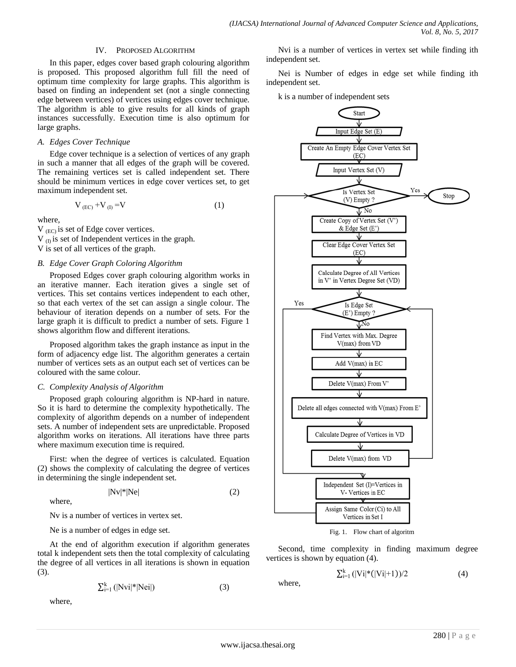#### IV. PROPOSED ALGORITHM

In this paper, edges cover based graph colouring algorithm is proposed. This proposed algorithm full fill the need of optimum time complexity for large graphs. This algorithm is based on finding an independent set (not a single connecting edge between vertices) of vertices using edges cover technique. The algorithm is able to give results for all kinds of graph instances successfully. Execution time is also optimum for large graphs.

## *A. Edges Cover Technique*

Edge cover technique is a selection of vertices of any graph in such a manner that all edges of the graph will be covered. The remaining vertices set is called independent set. There should be minimum vertices in edge cover vertices set, to get maximum independent set.

$$
V_{(EC)} + V_{(I)} = V \tag{1}
$$

where,

 $V_{(EC)}$  is set of Edge cover vertices.  $V_{\text{II}}$  is set of Independent vertices in the graph. V is set of all vertices of the graph.

## *B. Edge Cover Graph Coloring Algorithm*

Proposed Edges cover graph colouring algorithm works in an iterative manner. Each iteration gives a single set of vertices. This set contains vertices independent to each other, so that each vertex of the set can assign a single colour. The behaviour of iteration depends on a number of sets. For the large graph it is difficult to predict a number of sets. Figure 1 shows algorithm flow and different iterations.

Proposed algorithm takes the graph instance as input in the form of adjacency edge list. The algorithm generates a certain number of vertices sets as an output each set of vertices can be coloured with the same colour.

## *C. Complexity Analysis of Algorithm*

Proposed graph colouring algorithm is NP-hard in nature. So it is hard to determine the complexity hypothetically. The complexity of algorithm depends on a number of independent sets. A number of independent sets are unpredictable. Proposed algorithm works on iterations. All iterations have three parts where maximum execution time is required.

First: when the degree of vertices is calculated. Equation (2) shows the complexity of calculating the degree of vertices in determining the single independent set.

$$
|Nv|^*|Ne| \tag{2}
$$

where,

Nv is a number of vertices in vertex set.

Ne is a number of edges in edge set.

At the end of algorithm execution if algorithm generates total k independent sets then the total complexity of calculating the degree of all vertices in all iterations is shown in equation (3).

$$
\sum_{i=1}^{k} (|\text{Nvi}|^*|\text{Nei}|) \tag{3}
$$

where,

Nvi is a number of vertices in vertex set while finding ith independent set.

Nei is Number of edges in edge set while finding ith independent set.

k is a number of independent sets



Fig. 1. Flow chart of algoritm

Second, time complexity in finding maximum degree vertices is shown by equation (4).

$$
\sum_{i=1}^{k} (|Vi|^{*}(|Vi|+1))/2 \tag{4}
$$

where,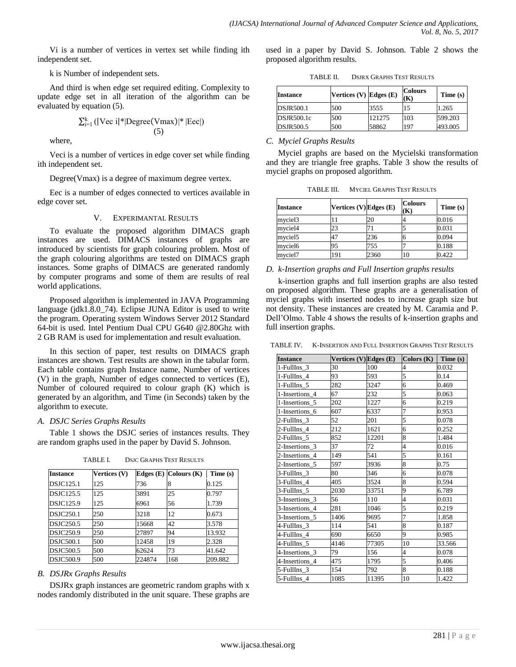Vi is a number of vertices in vertex set while finding ith independent set.

k is Number of independent sets.

And third is when edge set required editing. Complexity to update edge set in all iteration of the algorithm can be evaluated by equation (5).

$$
\sum_{i=1}^{k} (|\text{Vec } i| | \text{Degree}(\text{Vmax}) | \text{|} |\text{Eec}|)
$$
  
(5)

where,

Veci is a number of vertices in edge cover set while finding ith independent set.

Degree(Vmax) is a degree of maximum degree vertex.

Eec is a number of edges connected to vertices available in edge cover set.

### V. EXPERIMANTAL RESULTS

To evaluate the proposed algorithm DIMACS graph instances are used. DIMACS instances of graphs are introduced by scientists for graph colouring problem. Most of the graph colouring algorithms are tested on DIMACS graph instances. Some graphs of DIMACS are generated randomly by computer programs and some of them are results of real world applications.

Proposed algorithm is implemented in JAVA Programming language (jdk1.8.0\_74). Eclipse JUNA Editor is used to write the program. Operating system Windows Server 2012 Standard 64-bit is used. Intel Pentium Dual CPU G640 @2.80Ghz with 2 GB RAM is used for implementation and result evaluation.

In this section of paper, test results on DIMACS graph instances are shown. Test results are shown in the tabular form. Each table contains graph Instance name, Number of vertices (V) in the graph, Number of edges connected to vertices (E), Number of coloured required to colour graph (K) which is generated by an algorithm, and Time (in Seconds) taken by the algorithm to execute.

## *A. DSJC Series Graphs Results*

Table 1 shows the DSJC series of instances results. They are random graphs used in the paper by David S. Johnson.

TABLE I. DSJC GRAPHS TEST RESULTS

| <b>Instance</b>  | Vertices (V) |        | Edges $(E)$ Colours $(K)$ | Time (s) |
|------------------|--------------|--------|---------------------------|----------|
| <b>DSJC125.1</b> | 125          | 736    |                           | 0.125    |
| <b>DSJC125.5</b> | 125          | 3891   | 25                        | 0.797    |
| <b>DSJC125.9</b> | 125          | 6961   | 56                        | 1.739    |
| <b>DSJC250.1</b> | 250          | 3218   | 12                        | 0.673    |
| <b>DSJC250.5</b> | 250          | 15668  | 42                        | 3.578    |
| <b>DSJC250.9</b> | 250          | 27897  | 94                        | 13.932   |
| <b>DSJC500.1</b> | 500          | 12458  | 19                        | 2.328    |
| <b>DSJC500.5</b> | 500          | 62624  | 73                        | 41.642   |
| <b>DSJC500.9</b> | 500          | 224874 | 168                       | 209.882  |

## *B. DSJRx Graphs Results*

DSJRx graph instances are geometric random graphs with x nodes randomly distributed in the unit square. These graphs are used in a paper by David S. Johnson. Table 2 shows the proposed algorithm results.

TABLE II. DSJRX GRAPHS TEST RESULTS

| Instance         | Vertices $(V)$ Edges $(E)$ |        | <b>Colours</b><br>(K) | Time (s) |
|------------------|----------------------------|--------|-----------------------|----------|
| <b>DSJR500.1</b> | 500                        | 3555   | 15                    | 1.265    |
| DSJR500.1c       | 500                        | 121275 | 103                   | 599.203  |
| <b>DSJR500.5</b> | 500                        | 58862  | 197                   | 493.005  |

## *C. Myciel Graphs Results*

Myciel graphs are based on the Mycielski transformation and they are triangle free graphs. Table 3 show the results of myciel graphs on proposed algorithm.

TABLE III. MYCIEL GRAPHS TEST RESULTS

| <b>Instance</b>     | Vertices $(V)$ Edges $(E)$ |      | <b>Colours</b><br>(K) | Time (s) |
|---------------------|----------------------------|------|-----------------------|----------|
| myciel3             |                            | 20   |                       | 0.016    |
| myciel4             | 23                         |      |                       | 0.031    |
| myciel <sub>5</sub> | 47                         | 236  | n                     | 0.094    |
| myciel6             | 95                         | 755  |                       | 0.188    |
| myciel7             | 191                        | 2360 | 10                    | 0.422    |

# *D. k-Insertion graphs and Full Insertion graphs results*

k-insertion graphs and full insertion graphs are also tested on proposed algorithm. These graphs are a generalisation of myciel graphs with inserted nodes to increase graph size but not density. These instances are created by M. Caramia and P. Dell'Olmo. Table 4 shows the results of k-insertion graphs and full insertion graphs.

TABLE IV. K-INSERTION AND FULL INSERTION GRAPHS TEST RESULTS

| <b>Instance</b> | Vertices $(V)$ Edges $(E)$ |       | Colors $(K)$            | Time (s) |
|-----------------|----------------------------|-------|-------------------------|----------|
| 1-FullIns_3     | 30                         | 100   | $\overline{\mathbf{4}}$ | 0.032    |
| 1-FullIns_4     | 93                         | 593   | 5                       | 0.14     |
| 1-FullIns 5     | 282                        | 3247  | 6                       | 0.469    |
| 1-Insertions_4  | 67                         | 232   | 5                       | 0.063    |
| 1-Insertions 5  | 202                        | 1227  | 6                       | 0.219    |
| 1-Insertions_6  | 607                        | 6337  | $\overline{7}$          | 0.953    |
| 2-FullIns 3     | 52                         | 201   | 5                       | 0.078    |
| 2-FullIns_4     | 212                        | 1621  | 6                       | 0.252    |
| 2-FullIns 5     | 852                        | 12201 | 8                       | 1.484    |
| 2-Insertions_3  | 37                         | 72    | $\overline{\mathbf{4}}$ | 0.016    |
| 2-Insertions_4  | 149                        | 541   | 5                       | 0.161    |
| 2-Insertions_5  | 597                        | 3936  | 8                       | 0.75     |
| 3-FullIns 3     | 80                         | 346   | 6                       | 0.078    |
| 3-FullIns_4     | 405                        | 3524  | 8                       | 0.594    |
| 3-FullIns_5     | 2030                       | 33751 | 9                       | 6.789    |
| 3-Insertions_3  | 56                         | 110   | $\overline{4}$          | 0.031    |
| 3-Insertions 4  | 281                        | 1046  | 5                       | 0.219    |
| 3-Insertions 5  | 1406                       | 9695  | $\overline{7}$          | 1.858    |
| 4-FullIns_3     | 114                        | 541   | 8                       | 0.187    |
| 4-FullIns 4     | 690                        | 6650  | 9                       | 0.985    |
| 4-FullIns 5     | 4146                       | 77305 | 10                      | 33.566   |
| 4-Insertions_3  | 79                         | 156   | $\overline{4}$          | 0.078    |
| 4-Insertions 4  | 475                        | 1795  | 5                       | 0.406    |
| 5-FullIns_3     | 154                        | 792   | 8                       | 0.188    |
| 5-FullIns 4     | 1085                       | 11395 | 10                      | 1.422    |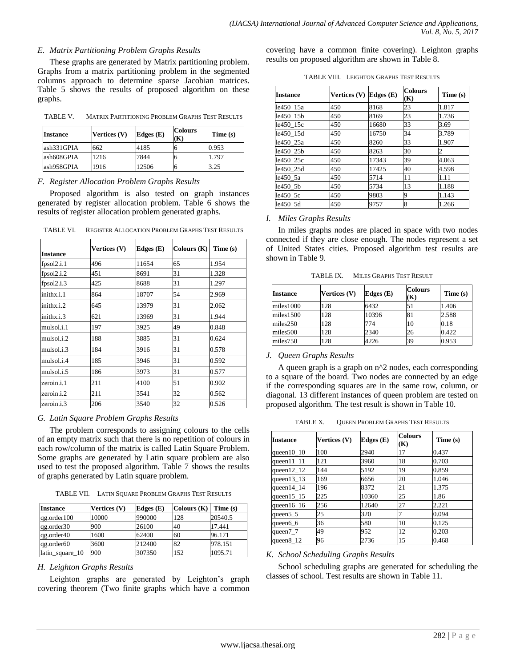### *E. Matrix Partitioning Problem Graphs Results*

These graphs are generated by Matrix partitioning problem. Graphs from a matrix partitioning problem in the segmented columns approach to determine sparse Jacobian matrices. Table 5 shows the results of proposed algorithm on these graphs.

TABLE V. MATRIX PARTITIONING PROBLEM GRAPHS TEST RESULTS

| <b>Instance</b> | Vertices (V) | Edges $(E)$ | <b>Colours</b><br>(K) | Time (s) |
|-----------------|--------------|-------------|-----------------------|----------|
| lash331GPIA     | 662          | 4185        |                       | 0.953    |
| ash608GPIA      | 1216         | 7844        |                       | .797     |
| ash958GPIA      | 1916         | 12506       | 6                     | 3.25     |

### *F. Register Allocation Problem Graphs Results*

Proposed algorithm is also tested on graph instances generated by register allocation problem. Table 6 shows the results of register allocation problem generated graphs.

TABLE VI. REGISTER ALLOCATION PROBLEM GRAPHS TEST RESULTS

|                 | Vertices (V) | Edges (E) | $\mathbf{Colours}\left(\mathbf{K}\right)$ | Time (s) |
|-----------------|--------------|-----------|-------------------------------------------|----------|
| <b>Instance</b> |              |           |                                           |          |
| fpsol2.i.1      | 496          | 11654     | 65                                        | 1.954    |
| fpsol2.i.2      | 451          | 8691      | 31                                        | 1.328    |
| fpsol2.i.3      | 425          | 8688      | 31                                        | 1.297    |
| inithx.i.1      | 864          | 18707     | 54                                        | 2.969    |
| inithx.i.2      | 645          | 13979     | 31                                        | 2.062    |
| inithx.i.3      | 621          | 13969     | 31                                        | 1.944    |
| mulsol.i.1      | 197          | 3925      | 49                                        | 0.848    |
| mulsol.i.2      | 188          | 3885      | 31                                        | 0.624    |
| mulsol.i.3      | 184          | 3916      | 31                                        | 0.578    |
| mulsol.i.4      | 185          | 3946      | 31                                        | 0.592    |
| mulsol.i.5      | 186          | 3973      | 31                                        | 0.577    |
| zeroin.i.1      | 211          | 4100      | 51                                        | 0.902    |
| zeroin.i.2      | 211          | 3541      | 32                                        | 0.562    |
| zeroin.i.3      | 206          | 3540      | 32                                        | 0.526    |

## *G. Latin Square Problem Graphs Results*

The problem corresponds to assigning colours to the cells of an empty matrix such that there is no repetition of colours in each row/column of the matrix is called Latin Square Problem. Some graphs are generated by Latin square problem are also used to test the proposed algorithm. Table 7 shows the results of graphs generated by Latin square problem.

TABLE VII. LATIN SQUARE PROBLEM GRAPHS TEST RESULTS

| <b>Instance</b> | Vertices (V) | Edges $(E)$ | Colours $(K)$ | Time (s) |
|-----------------|--------------|-------------|---------------|----------|
| qg.order100     | 10000        | 990000      | 128           | 20540.5  |
| qg.order30      | 900          | 26100       | 40            | 17.441   |
| qg.order40      | 1600         | 62400       | 60            | 96.171   |
| qg.order60      | 3600         | 212400      | 82            | 978.151  |
| latin square 10 | 900          | 307350      | 152           | 1095.71  |

## *H. Leighton Graphs Results*

Leighton graphs are generated by Leighton's graph covering theorem (Two finite graphs which have a common covering have a common finite covering). Leighton graphs results on proposed algorithm are shown in Table 8.

TABLE VIII. LEIGHTON GRAPHS TEST RESULTS

| <b>Instance</b> | Vertices (V) | Edges $(E)$ | <b>Colours</b><br>(K) | Time (s) |
|-----------------|--------------|-------------|-----------------------|----------|
| le450_15a       | 450          | 8168        | 23                    | 1.817    |
| le450_15b       | 450          | 8169        | 23                    | 1.736    |
| le450_15c       | 450          | 16680       | 33                    | 3.69     |
| le450 15d       | 450          | 16750       | 34                    | 3.789    |
| le450 25a       | 450          | 8260        | 33                    | 1.907    |
| le450_25b       | 450          | 8263        | 30                    | 2        |
| le450 25c       | 450          | 17343       | 39                    | 4.063    |
| le450 25d       | 450          | 17425       | 40                    | 4.598    |
| le450 5a        | 450          | 5714        | 11                    | 1.11     |
| le450 5b        | 450          | 5734        | 13                    | 1.188    |
| le450_5c        | 450          | 9803        | 9                     | 1.143    |
| le450_5d        | 450          | 9757        | 8                     | 1.266    |

## *I. Miles Graphs Results*

In miles graphs nodes are placed in space with two nodes connected if they are close enough. The nodes represent a set of United States cities. Proposed algorithm test results are shown in Table 9.

TABLE IX. MILES GRAPHS TEST RESULT

| <b>Instance</b> | Vertices (V) | Edges $(E)$ | <b>Colours</b><br>$(\mathbf{K})$ | Time (s) |
|-----------------|--------------|-------------|----------------------------------|----------|
| miles1000       | 128          | 6432        | 51                               | 1.406    |
| miles1500       | 128          | 10396       | 81                               | 2.588    |
| miles250        | 128          | 774         | 10                               | 0.18     |
| miles500        | 128          | 2340        | 26                               | 0.422    |
| miles750        | 128          | 4226        | 39                               | 0.953    |

## *J. Queen Graphs Results*

A queen graph is a graph on n^2 nodes, each corresponding to a square of the board. Two nodes are connected by an edge if the corresponding squares are in the same row, column, or diagonal. 13 different instances of queen problem are tested on proposed algorithm. The test result is shown in Table 10.

TABLE X. QUEEN PROBLEM GRAPHS TEST RESULTS

| Instance            | Vertices (V) | Edges $(E)$ | <b>Colours</b><br>(K) | Time (s) |
|---------------------|--------------|-------------|-----------------------|----------|
| queen $10$ 10       | 100          | 2940        | 17                    | 0.437    |
| queen11 11          | 121          | 3960        | 18                    | 0.703    |
| queen $12 \quad 12$ | 144          | 5192        | 19                    | 0.859    |
| queen $13$ $13$     | 169          | 6656        | 20                    | 1.046    |
| queen $14$ $14$     | 196          | 8372        | 21                    | 1.375    |
| queen $15\_15$      | 225          | 10360       | 25                    | 1.86     |
| queen $16$ $16$     | 256          | 12640       | 27                    | 2.221    |
| queen $5\_5$        | 25           | 320         |                       | 0.094    |
| queen6 6            | 36           | 580         | 10                    | 0.125    |
| queen7 7            | 49           | 952         | 12                    | 0.203    |
| queen8 12           | 96           | 2736        | 15                    | 0.468    |

*K. School Scheduling Graphs Results*

School scheduling graphs are generated for scheduling the classes of school. Test results are shown in Table 11.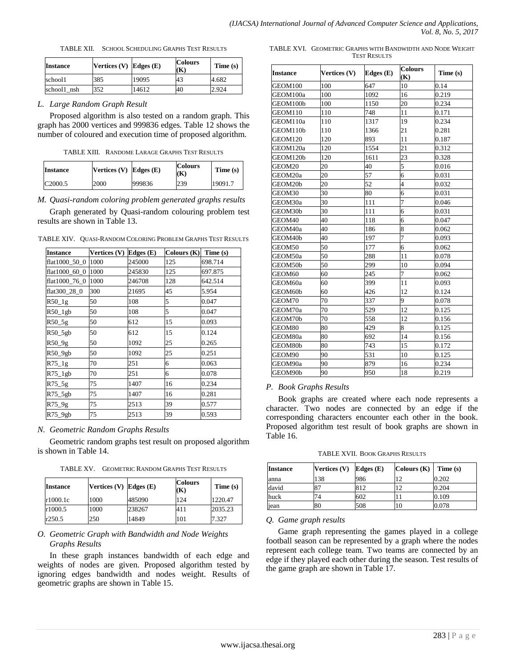| TABLE XII. | SCHOOL SCHEDULING GRAPHS TEST RESULTS |
|------------|---------------------------------------|
|            |                                       |

| <b>Instance</b> | Vertices $(V)$ Edges $(E)$ |       | <b>Colours</b><br>(K) | Time (s) |
|-----------------|----------------------------|-------|-----------------------|----------|
| school1         | 385                        | 19095 | 43                    | 4.682    |
| school1 nsh     | 352                        | 14612 | 40                    | 2.924    |

*L. Large Random Graph Result*

Proposed algorithm is also tested on a random graph. This graph has 2000 vertices and 999836 edges. Table 12 shows the number of coloured and execution time of proposed algorithm.

TABLE XIII. RANDOME LARAGE GRAPHS TEST RESULTS

| <b>Instance</b>     | <b>Vertices (V) Edges</b> $(E)$ |        | <b>Colours</b><br>(K) | Time (s) |
|---------------------|---------------------------------|--------|-----------------------|----------|
| C <sub>2000.5</sub> | 2000                            | 999836 | 239                   | 19091.7  |

*M. Quasi-random coloring problem generated graphs results*

Graph generated by Quasi-random colouring problem test results are shown in Table 13.

| TABLE XIV. QUASI-RANDOM COLORING PROBLEM GRAPHS TEST RESULTS |
|--------------------------------------------------------------|
|                                                              |

| <b>Instance</b>     | Vertices $(V)$ Edges $(E)$ |        |     | Colours $(K)$ Time $(s)$ |  |
|---------------------|----------------------------|--------|-----|--------------------------|--|
| flat1000_50_0 1000  |                            | 245000 | 125 | 698.714                  |  |
| flat1000_60_0 1000  |                            | 245830 | 125 | 697.875                  |  |
| flat1000_76_0  1000 |                            | 246708 | 128 | 642.514                  |  |
| flat300_28_0        | 300                        | 21695  | 45  | 5.954                    |  |
| $R50$ <sup>1g</sup> | 50                         | 108    | 5   | 0.047                    |  |
| $R50_1gb$           | 50                         | 108    | 5   | 0.047                    |  |
| $R50$ _5g           | 50                         | 612    | 15  | 0.093                    |  |
| $R50$ _5gb          | 50                         | 612    | 15  | 0.124                    |  |
| $R50_9g$            | 50                         | 1092   | 25  | 0.265                    |  |
| R50_9gb             | 50                         | 1092   | 25  | 0.251                    |  |
| $R75$ <sup>1g</sup> | 70                         | 251    | 6   | 0.063                    |  |
| $R75$ _1gb          | 70                         | 251    | 6   | 0.078                    |  |
| $R75-5g$            | 75                         | 1407   | 16  | 0.234                    |  |
| R75_5gb             | 75                         | 1407   | 16  | 0.281                    |  |
| $R75-9g$            | 75                         | 2513   | 39  | 0.577                    |  |
| R75_9gb             | 75                         | 2513   | 39  | 0.593                    |  |

*N. Geometric Random Graphs Results*

Geometric random graphs test result on proposed algorithm is shown in Table 14.

TABLE XV. GEOMETRIC RANDOM GRAPHS TEST RESULTS

| <b>Instance</b> | Vertices (V) Edges (E) |        | <b>Colours</b><br>(K) | Time (s) |
|-----------------|------------------------|--------|-----------------------|----------|
| r1000.1c        | 1000                   | 485090 | 124                   | 1220.47  |
| r1000.5         | 1000                   | 238267 | 411                   | 2035.23  |
| r250.5          | 250                    | 14849  | 101                   | 7.327    |

## *O. Geometric Graph with Bandwidth and Node Weights Graphs Results*

In these graph instances bandwidth of each edge and weights of nodes are given. Proposed algorithm tested by ignoring edges bandwidth and nodes weight. Results of geometric graphs are shown in Table 15.

TABLE XVI. GEOMETRIC GRAPHS WITH BANDWIDTH AND NODE WEIGHT TEST RESULTS

| <b>Instance</b> | Vertices (V) | Edges $(E)$ | <b>Colours</b><br>(K) | Time (s) |
|-----------------|--------------|-------------|-----------------------|----------|
| GEOM100         | 100          | 647         | 10                    | 0.14     |
| GEOM100a        | 100          | 1092        | 16                    | 0.219    |
| GEOM100b        | 100          | 1150        | 20                    | 0.234    |
| GEOM110         | 110          | 748         | 11                    | 0.171    |
| GEOM110a        | 110          | 1317        | 19                    | 0.234    |
| GEOM110b        | 110          | 1366        | 21                    | 0.281    |
| GEOM120         | 120          | 893         | 11                    | 0.187    |
| GEOM120a        | 120          | 1554        | 21                    | 0.312    |
| GEOM120b        | 120          | 1611        | 23                    | 0.328    |
| GEOM20          | 20           | 40          | 5                     | 0.016    |
| GEOM20a         | 20           | 57          | 6                     | 0.031    |
| GEOM20b         | 20           | 52          | $\overline{4}$        | 0.032    |
| GEOM30          | 30           | 80          | 6                     | 0.031    |
| GEOM30a         | 30           | 111         | 7                     | 0.046    |
| GEOM30b         | 30           | 111         | 6                     | 0.031    |
| GEOM40          | 40           | 118         | 6                     | 0.047    |
| GEOM40a         | 40           | 186         | 8                     | 0.062    |
| GEOM40b         | 40           | 197         | 7                     | 0.093    |
| GEOM50          | 50           | 177         | 6                     | 0.062    |
| GEOM50a         | 50           | 288         | 11                    | 0.078    |
| GEOM50b         | 50           | 299         | 10                    | 0.094    |
| GEOM60          | 60           | 245         | $\overline{7}$        | 0.062    |
| GEOM60a         | 60           | 399         | 11                    | 0.093    |
| GEOM60b         | 60           | 426         | 12                    | 0.124    |
| GEOM70          | 70           | 337         | 9                     | 0.078    |
| GEOM70a         | 70           | 529         | 12                    | 0.125    |
| GEOM70b         | 70           | 558         | 12                    | 0.156    |
| GEOM80          | 80           | 429         | 8                     | 0.125    |
| GEOM80a         | 80           | 692         | 14                    | 0.156    |
| GEOM80b         | 80           | 743         | 15                    | 0.172    |
| GEOM90          | 90           | 531         | 10                    | 0.125    |
| GEOM90a         | 90           | 879         | 16                    | 0.234    |
| GEOM90b         | 90           | 950         | 18                    | 0.219    |

#### *P. Book Graphs Results*

Book graphs are created where each node represents a character. Two nodes are connected by an edge if the corresponding characters encounter each other in the book. Proposed algorithm test result of book graphs are shown in Table 16.

TABLE XVII. BOOK GRAPHS RESULTS

| <b>Instance</b> | Vertices (V) | Edges $(E)$ | $\mathbf{Colours}(\mathbf{K})$ | Time (s) |
|-----------------|--------------|-------------|--------------------------------|----------|
| anna            | 138          | 986         | 12                             | 0.202    |
| david           | 87           | 812         | 12                             | 0.204    |
| huck            | 74           | 602         |                                | 0.109    |
| iean            | 80           | 508         | 10                             | 0.078    |

#### *Q. Game graph results*

Game graph representing the games played in a college football season can be represented by a graph where the nodes represent each college team. Two teams are connected by an edge if they played each other during the season. Test results of the game graph are shown in Table 17.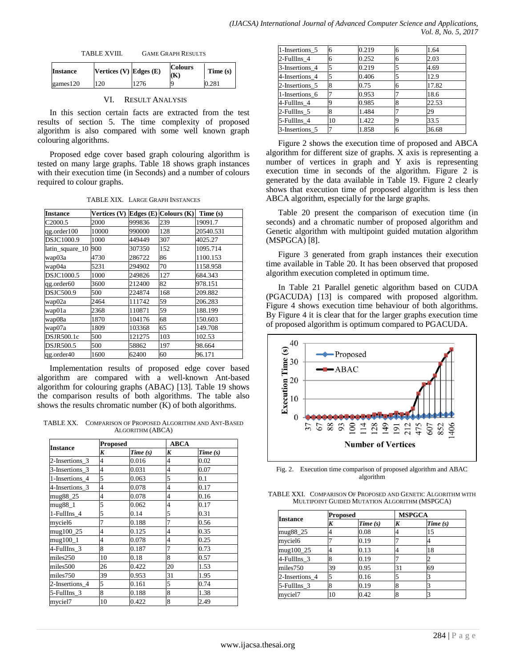| TABLE XVIII. | <b>GAME GRAPH RESULTS</b> |
|--------------|---------------------------|
|              |                           |

| Instance | Vertices $(V)$ Edges $(E)$ |      | <b>Colours</b><br>(K) | Time(s) |
|----------|----------------------------|------|-----------------------|---------|
| games120 | 120                        | 1276 |                       | 0.281   |

#### VI. RESULT ANALYSIS

In this section certain facts are extracted from the test results of section 5. The time complexity of proposed algorithm is also compared with some well known graph colouring algorithms.

Proposed edge cover based graph colouring algorithm is tested on many large graphs. Table 18 shows graph instances with their execution time (in Seconds) and a number of colours required to colour graphs.

TABLE XIX. LARGE GRAPH INSTANCES

| <b>Instance</b>     | Vertices (V) |        | Edges $(E)$ Colours $(K)$ | Time (s)  |
|---------------------|--------------|--------|---------------------------|-----------|
| C <sub>2000.5</sub> | 2000         | 999836 | 239                       | 19091.7   |
| qg.order100         | 10000        | 990000 | 128                       | 20540.531 |
| DSJC1000.9          | 1000         | 449449 | 307                       | 4025.27   |
| latin_square_10     | 900          | 307350 | 152                       | 1095.714  |
| wap03a              | 4730         | 286722 | 86                        | 1100.153  |
| wap04a              | 5231         | 294902 | 70                        | 1158.958  |
| DSJC1000.5          | 1000         | 249826 | 127                       | 684.343   |
| qg.order60          | 3600         | 212400 | 82                        | 978.151   |
| DSJC500.9           | 500          | 224874 | 168                       | 209.882   |
| wap02a              | 2464         | 111742 | 59                        | 206.283   |
| wap01a              | 2368         | 110871 | 59                        | 188.199   |
| wap08a              | 1870         | 104176 | 68                        | 150.603   |
| wap07a              | 1809         | 103368 | 65                        | 149.708   |
| <b>DSJR500.1c</b>   | 500          | 121275 | 103                       | 102.53    |
| <b>DSJR500.5</b>    | 500          | 58862  | 197                       | 98.664    |
| qg.order40          | 1600         | 62400  | 60                        | 96.171    |

Implementation results of proposed edge cover based algorithm are compared with a well-known Ant-based algorithm for colouring graphs (ABAC) [13]. Table 19 shows the comparison results of both algorithms. The table also shows the results chromatic number (K) of both algorithms.

TABLE XX. COMPARISON OF PROPOSED ALGORITHM AND ANT-BASED ALGORITHM (ABCA)

|                 | Proposed |         | <b>ABCA</b> |            |
|-----------------|----------|---------|-------------|------------|
| <b>Instance</b> | K        | Time(s) | K           | Time $(s)$ |
| 2-Insertions_3  | 4        | 0.016   | 4           | 0.02       |
| 3-Insertions_3  | 4        | 0.031   | 4           | 0.07       |
| 1-Insertions 4  | 5        | 0.063   | 5           | 0.1        |
| 4-Insertions_3  | 4        | 0.078   | 4           | 0.17       |
| mug88_25        | 4        | 0.078   | 4           | 0.16       |
| mug88_1         | 5        | 0.062   | 4           | 0.17       |
| 1-FullIns_4     | 5        | 0.14    | 5           | 0.31       |
| myciel6         | 7        | 0.188   | 7           | 0.56       |
| mug100_25       | 4        | 0.125   | 4           | 0.35       |
| $mug100_1$      | 4        | 0.078   | 4           | 0.25       |
| 4-FullIns 3     | 8        | 0.187   | 7           | 0.73       |
| miles250        | 10       | 0.18    | 8           | 0.57       |
| miles500        | 26       | 0.422   | 20          | 1.53       |
| miles750        | 39       | 0.953   | 31          | 1.95       |
| 2-Insertions_4  | 5        | 0.161   | 5           | 0.74       |
| 5-FullIns_3     | 8        | 0.188   | 8           | 1.38       |
| myciel7         | 10       | 0.422   | 8           | 2.49       |

| 1-Insertions_5 | 6  | 0.219 | 6 | 1.64  |
|----------------|----|-------|---|-------|
| 2-FullIns 4    | 6  | 0.252 | 6 | 2.03  |
| 3-Insertions 4 | 5  | 0.219 |   | 4.69  |
| 4-Insertions 4 | 5  | 0.406 |   | 12.9  |
| 2-Insertions 5 | 8  | 0.75  | 6 | 17.82 |
| 1-Insertions 6 |    | 0.953 |   | 18.6  |
| 4-FullIns 4    |    | 0.985 |   | 22.53 |
| 2-FullIns 5    | 8  | 1.484 |   | 29    |
| 5-FullIns 4    | 10 | 1.422 |   | 33.5  |
| 3-Insertions 5 |    | 1.858 | 6 | 36.68 |

Figure 2 shows the execution time of proposed and ABCA algorithm for different size of graphs. X axis is representing a number of vertices in graph and Y axis is representing execution time in seconds of the algorithm. Figure 2 is generated by the data available in Table 19. Figure 2 clearly shows that execution time of proposed algorithm is less then ABCA algorithm, especially for the large graphs.

Table 20 present the comparison of execution time (in seconds) and a chromatic number of proposed algorithm and Genetic algorithm with multipoint guided mutation algorithm (MSPGCA) [8].

Figure 3 generated from graph instances their execution time available in Table 20. It has been observed that proposed algorithm execution completed in optimum time.

In Table 21 Parallel genetic algorithm based on CUDA (PGACUDA) [13] is compared with proposed algorithm. Figure 4 shows execution time behaviour of both algorithms. By Figure 4 it is clear that for the larger graphs execution time of proposed algorithm is optimum compared to PGACUDA.



Fig. 2. Execution time comparison of proposed algorithm and ABAC algorithm

| TABLE XXI. COMPARISON OF PROPOSED AND GENETIC ALGORITHM WITH |
|--------------------------------------------------------------|
| MULTIPOINT GUIDED MUTATION ALGORITHM (MSPGCA)                |

| <b>Instance</b> | Proposed |         | <b>MSPGCA</b> |         |
|-----------------|----------|---------|---------------|---------|
|                 |          | Time(s) | K             | Time(s) |
| mug88_25        |          | 0.08    |               | 15      |
| myciel6         |          | 0.19    |               |         |
| mug100_25       |          | 0.13    |               | 18      |
| 4-FullIns 3     |          | 0.19    |               |         |
| miles750        | 39       | 0.95    | 31            | 69      |
| 2-Insertions 4  |          | 0.16    |               |         |
| 5-FullIns 3     |          | 0.19    |               |         |
| myciel7         | 10       | 0.42    |               |         |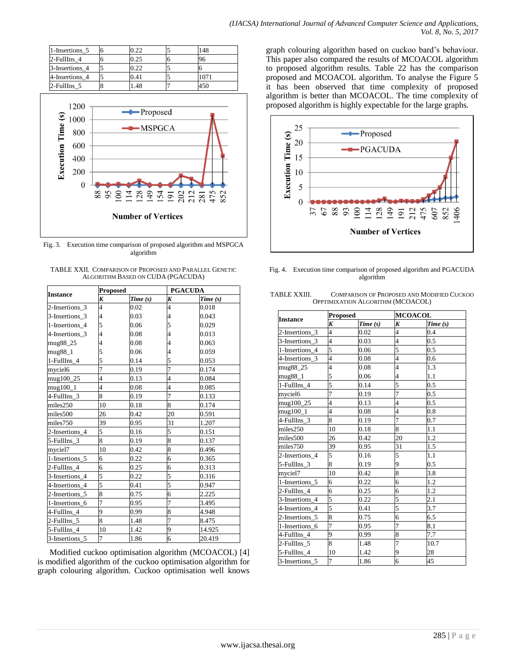|                    | 1-Insertions_5                                       | 6 | 0.22                                                    | 5 | 148  |
|--------------------|------------------------------------------------------|---|---------------------------------------------------------|---|------|
| 2-FullIns_4        |                                                      | 6 | 0.25                                                    | 6 | 96   |
|                    | 3-Insertions_4                                       | 5 | 0.22                                                    | 5 | 6    |
|                    | 4-Insertions 4                                       | 5 | 0.41                                                    | 5 | 1071 |
| 2-FullIns 5        |                                                      | 8 | 1.48                                                    | 7 | 450  |
| Execution Time (s) | 1200<br>1000<br>800<br>600<br>400<br>200<br>$\theta$ |   | -Proposed<br><b>MSPGCA</b><br><b>Number of Vertices</b> |   |      |

٦

Fig. 3. Execution time comparison of proposed algorithm and MSPGCA algorithm

| TABLE XXII. COMPARISON OF PROPOSED AND PARALLEL GENETIC |  |  |
|---------------------------------------------------------|--|--|
| ALGORITHM BASED ON CUDA (PGACUDA)                       |  |  |

| <b>Instance</b>     |                | <b>Proposed</b> |                          | <b>PGACUDA</b> |  |
|---------------------|----------------|-----------------|--------------------------|----------------|--|
|                     | K              | Time(s)         | $\overline{K}$           | Time(s)        |  |
| 2-Insertions_3      | 4              | 0.02            | $\overline{4}$           | 0.018          |  |
| 3-Insertions_3      | $\overline{4}$ | 0.03            | $\overline{4}$           | 0.043          |  |
| 1-Insertions_4      | 5              | 0.06            | 5                        | 0.029          |  |
| 4-Insertions 3      | 4              | 0.08            | $\overline{\mathcal{L}}$ | 0.013          |  |
| mug88_25            | $\overline{4}$ | 0.08            | $\overline{4}$           | 0.063          |  |
| mug88_1             | 5              | 0.06            | 4                        | 0.059          |  |
| 1-FullIns 4         | 5              | 0.14            | 5                        | 0.053          |  |
| myciel <sub>6</sub> | 7              | 0.19            | 7                        | 0.174          |  |
| mug100_25           | 4              | 0.13            | $\overline{\mathbf{4}}$  | 0.084          |  |
| $mug100_1$          | 4              | 0.08            | $\overline{\mathcal{L}}$ | 0.085          |  |
| 4-FullIns 3         | 8              | 0.19            | 7                        | 0.133          |  |
| miles250            | 10             | 0.18            | 8                        | 0.174          |  |
| miles500            | 26             | 0.42            | 20                       | 0.591          |  |
| miles750            | 39             | 0.95            | 31                       | 1.207          |  |
| 2-Insertions 4      | 5              | 0.16            | 5                        | 0.151          |  |
| 5-FullIns 3         | 8              | 0.19            | 8                        | 0.137          |  |
| myciel7             | 10             | 0.42            | 8                        | 0.496          |  |
| 1-Insertions_5      | 6              | 0.22            | 6                        | 0.365          |  |
| 2-FullIns 4         | 6              | 0.25            | 6                        | 0.313          |  |
| 3-Insertions_4      | 5              | 0.22            | 5                        | 0.316          |  |
| 4-Insertions 4      | 5              | 0.41            | 5                        | 0.947          |  |
| 2-Insertions_5      | 8              | 0.75            | 6                        | 2.225          |  |
| 1-Insertions 6      | 7              | 0.95            | 7                        | 3.495          |  |
| 4-FullIns 4         | 9              | 0.99            | 8                        | 4.948          |  |
| 2-FullIns 5         | 8              | 1.48            | 7                        | 8.475          |  |
| 5-FullIns 4         | 10             | 1.42            | 9                        | 14.925         |  |
| 3-Insertions 5      | 7              | 1.86            | 6                        | 20.419         |  |

Modified cuckoo optimisation algorithm (MCOACOL) [4] is modified algorithm of the cuckoo optimisation algorithm for graph colouring algorithm. Cuckoo optimisation well knows graph colouring algorithm based on cuckoo bard's behaviour. This paper also compared the results of MCOACOL algorithm to proposed algorithm results. Table 22 has the comparison proposed and MCOACOL algorithm. To analyse the Figure 5 it has been observed that time complexity of proposed algorithm is better than MCOACOL. The time complexity of proposed algorithm is highly expectable for the large graphs.



Fig. 4. Execution time comparison of proposed algorithm and PGACUDA algorithm

| <b>Instance</b> | <b>Proposed</b>          |         |                          | <b>MCOACOL</b> |  |
|-----------------|--------------------------|---------|--------------------------|----------------|--|
|                 | K                        | Time(s) | K                        | Time(s)        |  |
| 2-Insertions 3  | 4                        | 0.02    | 4                        | 0.4            |  |
| 3-Insertions 3  | $\overline{\mathcal{L}}$ | 0.03    | $\overline{\mathcal{L}}$ | 0.5            |  |
| 1-Insertions 4  | $\overline{5}$           | 0.06    | $\overline{5}$           | 0.5            |  |
| 4-Insertions 3  | $\overline{4}$           | 0.08    | $\overline{\mathcal{L}}$ | 0.6            |  |
| mug88_25        | $\overline{4}$           | 0.08    | $\overline{4}$           | 1.3            |  |
| $mug88_1$       | 5                        | 0.06    | 4                        | 1.1            |  |
| 1-FullIns 4     | 5                        | 0.14    | 5                        | 0.5            |  |
| myciel6         | 7                        | 0.19    | 7                        | 0.5            |  |
| mug100_25       | $\overline{4}$           | 0.13    | $\overline{\mathcal{L}}$ | 0.5            |  |
| $mug100_1$      | $\overline{4}$           | 0.08    | $\overline{\mathcal{L}}$ | 0.8            |  |
| 4-FullIns 3     | $\overline{8}$           | 0.19    | 7                        | 0.7            |  |
| miles250        | 10                       | 0.18    | 8                        | 1.1            |  |
| miles500        | 26                       | 0.42    | 20                       | 1.2            |  |
| miles750        | 39                       | 0.95    | 31                       | 1.5            |  |
| 2-Insertions_4  | 5                        | 0.16    | 5                        | 1.1            |  |
| 5-FullIns 3     | 8                        | 0.19    | 9                        | 0.5            |  |
| myciel7         | 10                       | 0.42    | 8                        | 3.8            |  |
| 1-Insertions_5  | 6                        | 0.22    | 6                        | 1.2            |  |
| 2-FullIns 4     | 6                        | 0.25    | 6                        | 1.2            |  |
| 3-Insertions 4  | $\overline{5}$           | 0.22    | 5                        | 2.1            |  |
| 4-Insertions 4  | 5                        | 0.41    | 5                        | 3.7            |  |
| 2-Insertions 5  | 8                        | 0.75    | 6                        | 6.5            |  |
| 1-Insertions 6  | 7                        | 0.95    | 7                        | 8.1            |  |
| 4-FullIns 4     | 9                        | 0.99    | 8                        | 7.7            |  |
| 2-FullIns 5     | 8                        | 1.48    | 7                        | 10.7           |  |
| 5-FullIns 4     | 10                       | 1.42    | 9                        | 28             |  |
| 3-Insertions 5  | 7                        | 1.86    | 6                        | 45             |  |

| TABLE XXIII. | COMPARISON OF PROPOSED AND MODIFIED CUCKOO |
|--------------|--------------------------------------------|
|              | <b>OPPTIMIXATION ALGORITHM (MCOACOL)</b>   |